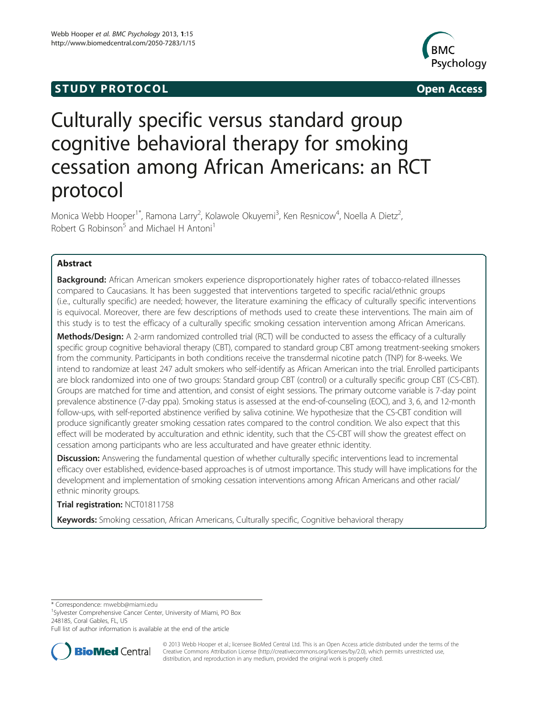# **STUDY PROTOCOL CONSUMING THE CONSUMING OPEN ACCESS**



# Culturally specific versus standard group cognitive behavioral therapy for smoking cessation among African Americans: an RCT protocol

Monica Webb Hooper<sup>1\*</sup>, Ramona Larry<sup>2</sup>, Kolawole Okuyemi<sup>3</sup>, Ken Resnicow<sup>4</sup>, Noella A Dietz<sup>2</sup> , Robert G Robinson<sup>5</sup> and Michael H Antoni<sup>1</sup>

# Abstract

Background: African American smokers experience disproportionately higher rates of tobacco-related illnesses compared to Caucasians. It has been suggested that interventions targeted to specific racial/ethnic groups (i.e., culturally specific) are needed; however, the literature examining the efficacy of culturally specific interventions is equivocal. Moreover, there are few descriptions of methods used to create these interventions. The main aim of this study is to test the efficacy of a culturally specific smoking cessation intervention among African Americans.

Methods/Design: A 2-arm randomized controlled trial (RCT) will be conducted to assess the efficacy of a culturally specific group cognitive behavioral therapy (CBT), compared to standard group CBT among treatment-seeking smokers from the community. Participants in both conditions receive the transdermal nicotine patch (TNP) for 8-weeks. We intend to randomize at least 247 adult smokers who self-identify as African American into the trial. Enrolled participants are block randomized into one of two groups: Standard group CBT (control) or a culturally specific group CBT (CS-CBT). Groups are matched for time and attention, and consist of eight sessions. The primary outcome variable is 7-day point prevalence abstinence (7-day ppa). Smoking status is assessed at the end-of-counseling (EOC), and 3, 6, and 12-month follow-ups, with self-reported abstinence verified by saliva cotinine. We hypothesize that the CS-CBT condition will produce significantly greater smoking cessation rates compared to the control condition. We also expect that this effect will be moderated by acculturation and ethnic identity, such that the CS-CBT will show the greatest effect on cessation among participants who are less acculturated and have greater ethnic identity.

Discussion: Answering the fundamental question of whether culturally specific interventions lead to incremental efficacy over established, evidence-based approaches is of utmost importance. This study will have implications for the development and implementation of smoking cessation interventions among African Americans and other racial/ ethnic minority groups.

# Trial registration: [NCT01811758](http://clinicaltrials.gov/ct2/show/NCT01811758)

Keywords: Smoking cessation, African Americans, Culturally specific, Cognitive behavioral therapy

\* Correspondence: [mwebb@miami.edu](mailto:mwebb@miami.edu) <sup>1</sup>

<sup>1</sup>Sylvester Comprehensive Cancer Center, University of Miami, PO Box 248185, Coral Gables, FL, US

Full list of author information is available at the end of the article



© 2013 Webb Hooper et al.; licensee BioMed Central Ltd. This is an Open Access article distributed under the terms of the Creative Commons Attribution License (<http://creativecommons.org/licenses/by/2.0>), which permits unrestricted use, distribution, and reproduction in any medium, provided the original work is properly cited.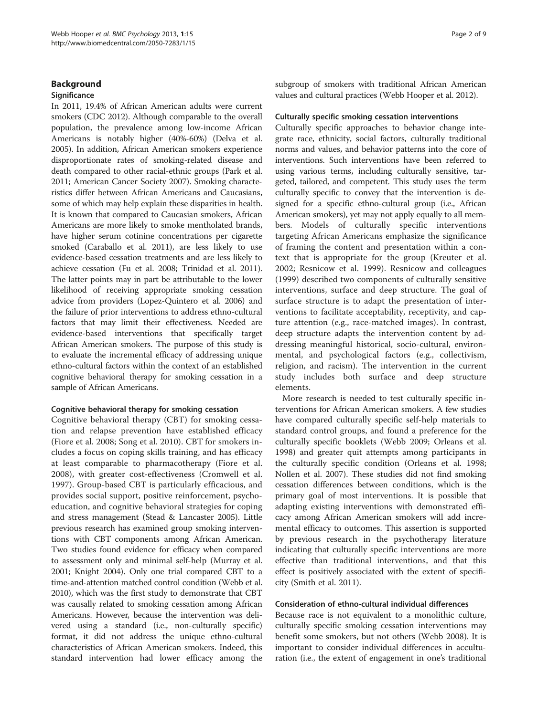#### **Background**

#### **Significance**

In 2011, 19.4% of African American adults were current smokers (CDC [2012\)](#page-7-0). Although comparable to the overall population, the prevalence among low-income African Americans is notably higher (40%-60%) (Delva et al. [2005\)](#page-7-0). In addition, African American smokers experience disproportionate rates of smoking-related disease and death compared to other racial-ethnic groups (Park et al. [2011;](#page-7-0) American Cancer Society [2007\)](#page-7-0). Smoking characteristics differ between African Americans and Caucasians, some of which may help explain these disparities in health. It is known that compared to Caucasian smokers, African Americans are more likely to smoke mentholated brands, have higher serum cotinine concentrations per cigarette smoked (Caraballo et al. [2011\)](#page-7-0), are less likely to use evidence-based cessation treatments and are less likely to achieve cessation (Fu et al. [2008](#page-7-0); Trinidad et al. [2011](#page-7-0)). The latter points may in part be attributable to the lower likelihood of receiving appropriate smoking cessation advice from providers (Lopez-Quintero et al. [2006](#page-8-0)) and the failure of prior interventions to address ethno-cultural factors that may limit their effectiveness. Needed are evidence-based interventions that specifically target African American smokers. The purpose of this study is to evaluate the incremental efficacy of addressing unique ethno-cultural factors within the context of an established cognitive behavioral therapy for smoking cessation in a sample of African Americans.

#### Cognitive behavioral therapy for smoking cessation

Cognitive behavioral therapy (CBT) for smoking cessation and relapse prevention have established efficacy (Fiore et al. [2008](#page-8-0); Song et al. [2010](#page-8-0)). CBT for smokers includes a focus on coping skills training, and has efficacy at least comparable to pharmacotherapy (Fiore et al. [2008\)](#page-8-0), with greater cost-effectiveness (Cromwell et al. [1997\)](#page-8-0). Group-based CBT is particularly efficacious, and provides social support, positive reinforcement, psychoeducation, and cognitive behavioral strategies for coping and stress management (Stead & Lancaster [2005](#page-8-0)). Little previous research has examined group smoking interventions with CBT components among African American. Two studies found evidence for efficacy when compared to assessment only and minimal self-help (Murray et al. [2001;](#page-8-0) Knight [2004\)](#page-8-0). Only one trial compared CBT to a time-and-attention matched control condition (Webb et al. [2010\)](#page-8-0), which was the first study to demonstrate that CBT was causally related to smoking cessation among African Americans. However, because the intervention was delivered using a standard (i.e., non-culturally specific) format, it did not address the unique ethno-cultural characteristics of African American smokers. Indeed, this standard intervention had lower efficacy among the

subgroup of smokers with traditional African American values and cultural practices (Webb Hooper et al. [2012](#page-8-0)).

#### Culturally specific smoking cessation interventions

Culturally specific approaches to behavior change integrate race, ethnicity, social factors, culturally traditional norms and values, and behavior patterns into the core of interventions. Such interventions have been referred to using various terms, including culturally sensitive, targeted, tailored, and competent. This study uses the term culturally specific to convey that the intervention is designed for a specific ethno-cultural group (i.e., African American smokers), yet may not apply equally to all members. Models of culturally specific interventions targeting African Americans emphasize the significance of framing the content and presentation within a context that is appropriate for the group (Kreuter et al. [2002;](#page-8-0) Resnicow et al. [1999](#page-8-0)). Resnicow and colleagues ([1999\)](#page-8-0) described two components of culturally sensitive interventions, surface and deep structure. The goal of surface structure is to adapt the presentation of interventions to facilitate acceptability, receptivity, and capture attention (e.g., race-matched images). In contrast, deep structure adapts the intervention content by addressing meaningful historical, socio-cultural, environmental, and psychological factors (e.g., collectivism, religion, and racism). The intervention in the current study includes both surface and deep structure elements.

More research is needed to test culturally specific interventions for African American smokers. A few studies have compared culturally specific self-help materials to standard control groups, and found a preference for the culturally specific booklets (Webb [2009;](#page-8-0) Orleans et al. [1998](#page-8-0)) and greater quit attempts among participants in the culturally specific condition (Orleans et al. [1998](#page-8-0); Nollen et al. [2007](#page-8-0)). These studies did not find smoking cessation differences between conditions, which is the primary goal of most interventions. It is possible that adapting existing interventions with demonstrated efficacy among African American smokers will add incremental efficacy to outcomes. This assertion is supported by previous research in the psychotherapy literature indicating that culturally specific interventions are more effective than traditional interventions, and that this effect is positively associated with the extent of specificity (Smith et al. [2011\)](#page-8-0).

#### Consideration of ethno-cultural individual differences

Because race is not equivalent to a monolithic culture, culturally specific smoking cessation interventions may benefit some smokers, but not others (Webb [2008\)](#page-8-0). It is important to consider individual differences in acculturation (i.e., the extent of engagement in one's traditional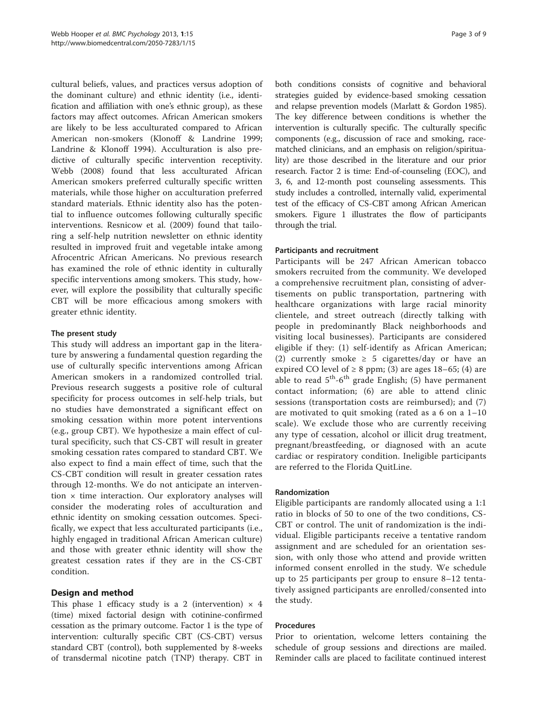cultural beliefs, values, and practices versus adoption of the dominant culture) and ethnic identity (i.e., identification and affiliation with one's ethnic group), as these factors may affect outcomes. African American smokers are likely to be less acculturated compared to African American non-smokers (Klonoff & Landrine [1999](#page-8-0); Landrine & Klonoff [1994\)](#page-8-0). Acculturation is also predictive of culturally specific intervention receptivity. Webb [\(2008](#page-8-0)) found that less acculturated African American smokers preferred culturally specific written materials, while those higher on acculturation preferred standard materials. Ethnic identity also has the potential to influence outcomes following culturally specific interventions. Resnicow et al. [\(2009](#page-8-0)) found that tailoring a self-help nutrition newsletter on ethnic identity resulted in improved fruit and vegetable intake among Afrocentric African Americans. No previous research has examined the role of ethnic identity in culturally specific interventions among smokers. This study, however, will explore the possibility that culturally specific CBT will be more efficacious among smokers with greater ethnic identity.

# The present study

This study will address an important gap in the literature by answering a fundamental question regarding the use of culturally specific interventions among African American smokers in a randomized controlled trial. Previous research suggests a positive role of cultural specificity for process outcomes in self-help trials, but no studies have demonstrated a significant effect on smoking cessation within more potent interventions (e.g., group CBT). We hypothesize a main effect of cultural specificity, such that CS-CBT will result in greater smoking cessation rates compared to standard CBT. We also expect to find a main effect of time, such that the CS-CBT condition will result in greater cessation rates through 12-months. We do not anticipate an intervention  $\times$  time interaction. Our exploratory analyses will consider the moderating roles of acculturation and ethnic identity on smoking cessation outcomes. Specifically, we expect that less acculturated participants (i.e., highly engaged in traditional African American culture) and those with greater ethnic identity will show the greatest cessation rates if they are in the CS-CBT condition.

# Design and method

This phase 1 efficacy study is a 2 (intervention)  $\times$  4 (time) mixed factorial design with cotinine-confirmed cessation as the primary outcome. Factor 1 is the type of intervention: culturally specific CBT (CS-CBT) versus standard CBT (control), both supplemented by 8-weeks of transdermal nicotine patch (TNP) therapy. CBT in

both conditions consists of cognitive and behavioral strategies guided by evidence-based smoking cessation and relapse prevention models (Marlatt & Gordon [1985](#page-8-0)). The key difference between conditions is whether the intervention is culturally specific. The culturally specific components (e.g., discussion of race and smoking, racematched clinicians, and an emphasis on religion/spirituality) are those described in the literature and our prior research. Factor 2 is time: End-of-counseling (EOC), and 3, 6, and 12-month post counseling assessments. This study includes a controlled, internally valid, experimental test of the efficacy of CS-CBT among African American smokers. Figure [1](#page-3-0) illustrates the flow of participants through the trial.

# Participants and recruitment

Participants will be 247 African American tobacco smokers recruited from the community. We developed a comprehensive recruitment plan, consisting of advertisements on public transportation, partnering with healthcare organizations with large racial minority clientele, and street outreach (directly talking with people in predominantly Black neighborhoods and visiting local businesses). Participants are considered eligible if they: (1) self-identify as African American; (2) currently smoke  $\geq$  5 cigarettes/day or have an expired CO level of  $\geq 8$  ppm; (3) are ages 18–65; (4) are able to read  $5<sup>th</sup>-6<sup>th</sup>$  grade English; (5) have permanent contact information; (6) are able to attend clinic sessions (transportation costs are reimbursed); and (7) are motivated to quit smoking (rated as a 6 on a 1–10 scale). We exclude those who are currently receiving any type of cessation, alcohol or illicit drug treatment, pregnant/breastfeeding, or diagnosed with an acute cardiac or respiratory condition. Ineligible participants are referred to the Florida QuitLine.

# Randomization

Eligible participants are randomly allocated using a 1:1 ratio in blocks of 50 to one of the two conditions, CS-CBT or control. The unit of randomization is the individual. Eligible participants receive a tentative random assignment and are scheduled for an orientation session, with only those who attend and provide written informed consent enrolled in the study. We schedule up to 25 participants per group to ensure 8–12 tentatively assigned participants are enrolled/consented into the study.

#### Procedures

Prior to orientation, welcome letters containing the schedule of group sessions and directions are mailed. Reminder calls are placed to facilitate continued interest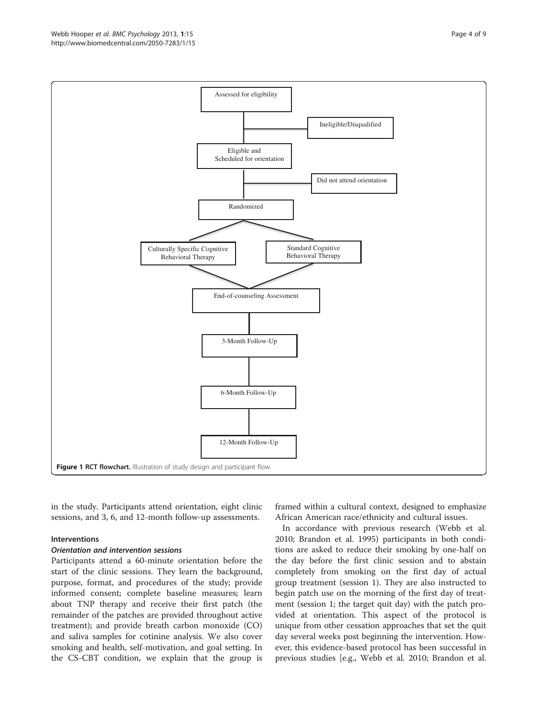in the study. Participants attend orientation, eight clinic sessions, and 3, 6, and 12-month follow-up assessments.

#### Interventions

#### Orientation and intervention sessions

Participants attend a 60-minute orientation before the start of the clinic sessions. They learn the background, purpose, format, and procedures of the study; provide informed consent; complete baseline measures; learn about TNP therapy and receive their first patch (the remainder of the patches are provided throughout active treatment); and provide breath carbon monoxide (CO) and saliva samples for cotinine analysis. We also cover smoking and health, self-motivation, and goal setting. In the CS-CBT condition, we explain that the group is framed within a cultural context, designed to emphasize African American race/ethnicity and cultural issues.

In accordance with previous research (Webb et al. [2010](#page-8-0); Brandon et al. [1995](#page-8-0)) participants in both conditions are asked to reduce their smoking by one-half on the day before the first clinic session and to abstain completely from smoking on the first day of actual group treatment (session 1). They are also instructed to begin patch use on the morning of the first day of treatment (session 1; the target quit day) with the patch provided at orientation. This aspect of the protocol is unique from other cessation approaches that set the quit day several weeks post beginning the intervention. However, this evidence-based protocol has been successful in previous studies [e.g., Webb et al. [2010](#page-8-0); Brandon et al.

<span id="page-3-0"></span>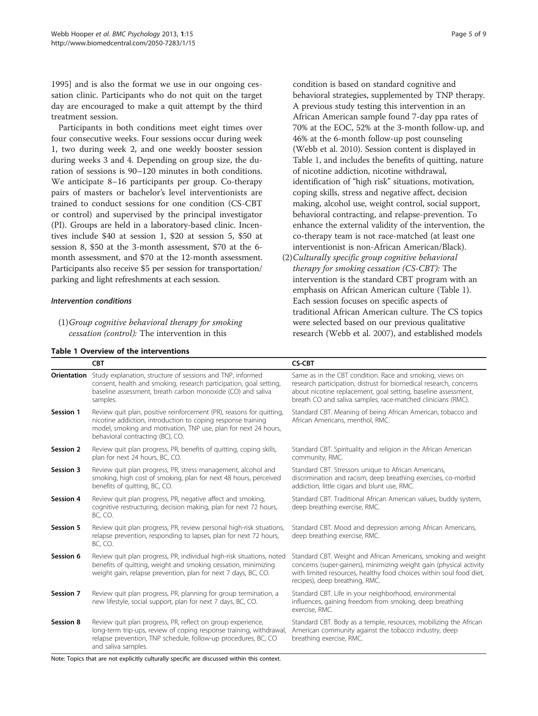[1995](#page-8-0)] and is also the format we use in our ongoing cessation clinic. Participants who do not quit on the target day are encouraged to make a quit attempt by the third treatment session.

Participants in both conditions meet eight times over four consecutive weeks. Four sessions occur during week 1, two during week 2, and one weekly booster session during weeks 3 and 4. Depending on group size, the duration of sessions is 90–120 minutes in both conditions. We anticipate 8–16 participants per group. Co-therapy pairs of masters or bachelor's level interventionists are trained to conduct sessions for one condition (CS-CBT or control) and supervised by the principal investigator (PI). Groups are held in a laboratory-based clinic. Incentives include \$40 at session 1, \$20 at session 5, \$50 at session 8, \$50 at the 3-month assessment, \$70 at the 6 month assessment, and \$70 at the 12-month assessment. Participants also receive \$5 per session for transportation/ parking and light refreshments at each session.

#### Intervention conditions

Table 1 Overview of the interventions

condition is based on standard cognitive and behavioral strategies, supplemented by TNP therapy. A previous study testing this intervention in an African American sample found 7-day ppa rates of 70% at the EOC, 52% at the 3-month follow-up, and 46% at the 6-month follow-up post counseling (Webb et al. [2010](#page-8-0)). Session content is displayed in Table 1, and includes the benefits of quitting, nature of nicotine addiction, nicotine withdrawal, identification of "high risk" situations, motivation, coping skills, stress and negative affect, decision making, alcohol use, weight control, social support, behavioral contracting, and relapse-prevention. To enhance the external validity of the intervention, the co-therapy team is not race-matched (at least one interventionist is non-African American/Black).

(2)Culturally specific group cognitive behavioral therapy for smoking cessation (CS-CBT): The intervention is the standard CBT program with an emphasis on African American culture (Table 1). Each session focuses on specific aspects of traditional African American culture. The CS topics were selected based on our previous qualitative research (Webb et al. [2007\)](#page-8-0), and established models

|             | <b>CBT</b>                                                                                                                                                                                                                                  | <b>CS-CBT</b>                                                                                                                                                                                                                                                    |  |
|-------------|---------------------------------------------------------------------------------------------------------------------------------------------------------------------------------------------------------------------------------------------|------------------------------------------------------------------------------------------------------------------------------------------------------------------------------------------------------------------------------------------------------------------|--|
| Orientation | Study explanation, structure of sessions and TNP, informed<br>consent, health and smoking, research participation, goal setting,<br>baseline assessment, breath carbon monoxide (CO) and saliva<br>samples.                                 | Same as in the CBT condition. Race and smoking, views on<br>research participation, distrust for biomedical research, concerns<br>about nicotine replacement, goal setting, baseline assessment,<br>breath CO and saliva samples, race-matched clinicians (RMC). |  |
| Session 1   | Review quit plan, positive reinforcement (PR), reasons for quitting,<br>nicotine addiction, introduction to coping response training<br>model, smoking and motivation, TNP use, plan for next 24 hours,<br>behavioral contracting (BC), CO. | Standard CBT. Meaning of being African American, tobacco and<br>African Americans, menthol, RMC.                                                                                                                                                                 |  |
| Session 2   | Review quit plan progress, PR, benefits of quitting, coping skills,<br>plan for next 24 hours, BC, CO.                                                                                                                                      | Standard CBT. Spirituality and religion in the African American<br>community, RMC.                                                                                                                                                                               |  |
| Session 3   | Review quit plan progress, PR, stress management, alcohol and<br>smoking, high cost of smoking, plan for next 48 hours, perceived<br>benefits of quitting, BC, CO.                                                                          | Standard CBT. Stressors unique to African Americans,<br>discrimination and racism, deep breathing exercises, co-morbid<br>addiction, little cigars and blunt use, RMC.                                                                                           |  |
| Session 4   | Review quit plan progress, PR, negative affect and smoking,<br>cognitive restructuring, decision making, plan for next 72 hours,<br>BC, CO.                                                                                                 | Standard CBT. Traditional African American values, buddy system,<br>deep breathing exercise, RMC.                                                                                                                                                                |  |
| Session 5   | Review quit plan progress, PR, review personal high-risk situations,<br>relapse prevention, responding to lapses, plan for next 72 hours,<br>BC, CO.                                                                                        | Standard CBT. Mood and depression among African Americans,<br>deep breathing exercise, RMC.                                                                                                                                                                      |  |
| Session 6   | Review quit plan progress, PR, individual high-risk situations, noted<br>benefits of quitting, weight and smoking cessation, minimizing<br>weight gain, relapse prevention, plan for next 7 days, BC, CO.                                   | Standard CBT. Weight and African Americans, smoking and weight<br>concerns (super-gainers), minimizing weight gain (physical activity<br>with limited resources, healthy food choices within soul food diet,<br>recipes), deep breathing, RMC.                   |  |
| Session 7   | Review quit plan progress, PR, planning for group termination, a<br>new lifestyle, social support, plan for next 7 days, BC, CO.                                                                                                            | Standard CBT. Life in your neighborhood, environmental<br>influences, gaining freedom from smoking, deep breathing<br>exercise, RMC.                                                                                                                             |  |
| Session 8   | Review quit plan progress, PR, reflect on group experience,<br>long-term trip-ups, review of coping response training, withdrawal,<br>relapse prevention, TNP schedule, follow-up procedures, BC, CO<br>and saliva samples.                 | Standard CBT. Body as a temple, resources, mobilizing the African<br>American community against the tobacco industry, deep<br>breathing exercise, RMC.                                                                                                           |  |

Note: Topics that are not explicitly culturally specific are discussed within this context.

<sup>(1)</sup>Group cognitive behavioral therapy for smoking cessation (control): The intervention in this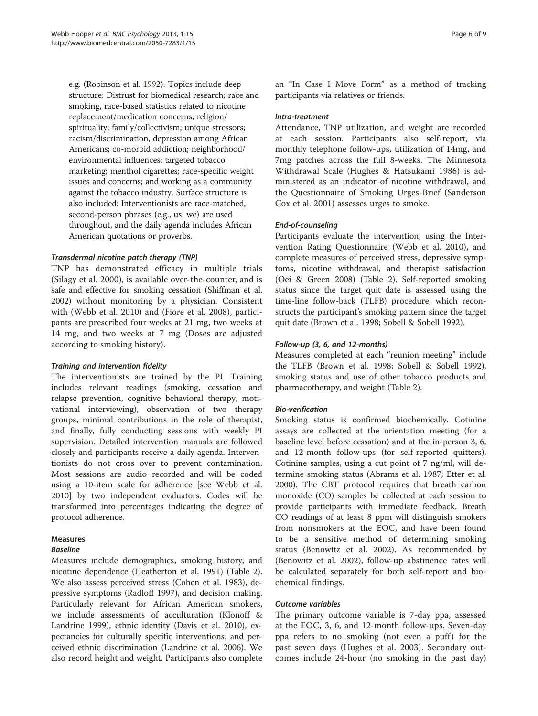e.g. (Robinson et al. [1992\)](#page-8-0). Topics include deep structure: Distrust for biomedical research; race and smoking, race-based statistics related to nicotine replacement/medication concerns; religion/ spirituality; family/collectivism; unique stressors; racism/discrimination, depression among African Americans; co-morbid addiction; neighborhood/ environmental influences; targeted tobacco marketing; menthol cigarettes; race-specific weight issues and concerns; and working as a community against the tobacco industry. Surface structure is also included: Interventionists are race-matched, second-person phrases (e.g., us, we) are used throughout, and the daily agenda includes African American quotations or proverbs.

# Transdermal nicotine patch therapy (TNP)

TNP has demonstrated efficacy in multiple trials (Silagy et al. [2000](#page-8-0)), is available over-the-counter, and is safe and effective for smoking cessation (Shiffman et al. [2002\)](#page-8-0) without monitoring by a physician. Consistent with (Webb et al. [2010\)](#page-8-0) and (Fiore et al. [2008](#page-8-0)), participants are prescribed four weeks at 21 mg, two weeks at 14 mg, and two weeks at 7 mg (Doses are adjusted according to smoking history).

#### Training and intervention fidelity

The interventionists are trained by the PI. Training includes relevant readings (smoking, cessation and relapse prevention, cognitive behavioral therapy, motivational interviewing), observation of two therapy groups, minimal contributions in the role of therapist, and finally, fully conducting sessions with weekly PI supervision. Detailed intervention manuals are followed closely and participants receive a daily agenda. Interventionists do not cross over to prevent contamination. Most sessions are audio recorded and will be coded using a 10-item scale for adherence [see Webb et al. [2010](#page-8-0)] by two independent evaluators. Codes will be transformed into percentages indicating the degree of protocol adherence.

# Measures

# Baseline

Measures include demographics, smoking history, and nicotine dependence (Heatherton et al. [1991\)](#page-8-0) (Table [2](#page-6-0)). We also assess perceived stress (Cohen et al. [1983](#page-8-0)), depressive symptoms (Radloff [1997\)](#page-8-0), and decision making. Particularly relevant for African American smokers, we include assessments of acculturation (Klonoff & Landrine [1999\)](#page-8-0), ethnic identity (Davis et al. [2010\)](#page-8-0), expectancies for culturally specific interventions, and perceived ethnic discrimination (Landrine et al. [2006\)](#page-8-0). We also record height and weight. Participants also complete an "In Case I Move Form" as a method of tracking participants via relatives or friends.

#### Intra-treatment

Attendance, TNP utilization, and weight are recorded at each session. Participants also self-report, via monthly telephone follow-ups, utilization of 14mg, and 7mg patches across the full 8-weeks. The Minnesota Withdrawal Scale (Hughes & Hatsukami [1986](#page-8-0)) is administered as an indicator of nicotine withdrawal, and the Questionnaire of Smoking Urges-Brief (Sanderson Cox et al. [2001](#page-8-0)) assesses urges to smoke.

# End-of-counseling

Participants evaluate the intervention, using the Intervention Rating Questionnaire (Webb et al. [2010](#page-8-0)), and complete measures of perceived stress, depressive symptoms, nicotine withdrawal, and therapist satisfaction (Oei & Green [2008\)](#page-8-0) (Table [2\)](#page-6-0). Self-reported smoking status since the target quit date is assessed using the time-line follow-back (TLFB) procedure, which reconstructs the participant's smoking pattern since the target quit date (Brown et al. [1998](#page-8-0); Sobell & Sobell [1992](#page-8-0)).

# Follow-up (3, 6, and 12-months)

Measures completed at each "reunion meeting" include the TLFB (Brown et al. [1998](#page-8-0); Sobell & Sobell [1992](#page-8-0)), smoking status and use of other tobacco products and pharmacotherapy, and weight (Table [2](#page-6-0)).

# Bio-verification

Smoking status is confirmed biochemically. Cotinine assays are collected at the orientation meeting (for a baseline level before cessation) and at the in-person 3, 6, and 12-month follow-ups (for self-reported quitters). Cotinine samples, using a cut point of 7 ng/ml, will determine smoking status (Abrams et al. [1987;](#page-8-0) Etter et al. [2000](#page-8-0)). The CBT protocol requires that breath carbon monoxide (CO) samples be collected at each session to provide participants with immediate feedback. Breath CO readings of at least 8 ppm will distinguish smokers from nonsmokers at the EOC, and have been found to be a sensitive method of determining smoking status (Benowitz et al. [2002](#page-8-0)). As recommended by (Benowitz et al. [2002\)](#page-8-0), follow-up abstinence rates will be calculated separately for both self-report and biochemical findings.

# Outcome variables

The primary outcome variable is 7-day ppa, assessed at the EOC, 3, 6, and 12-month follow-ups. Seven-day ppa refers to no smoking (not even a puff) for the past seven days (Hughes et al. [2003](#page-8-0)). Secondary outcomes include 24-hour (no smoking in the past day)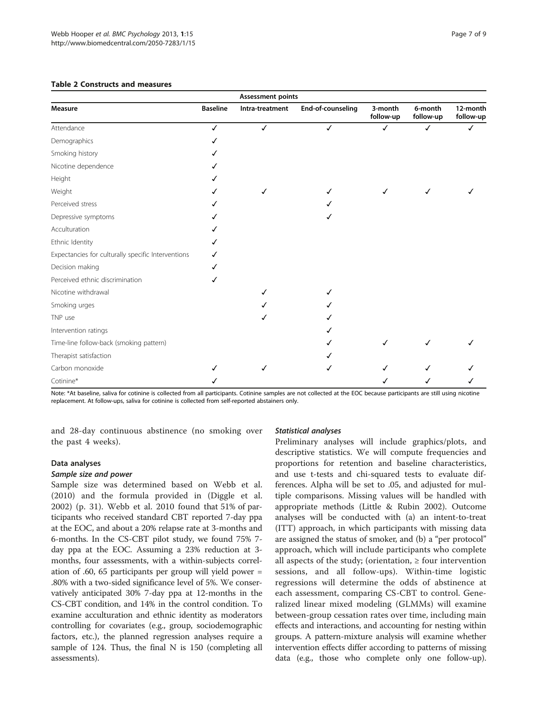<span id="page-6-0"></span>

| <b>Table 2 Constructs and measures</b><br><b>Assessment points</b> |   |   |   |  |  |  |  |  |
|--------------------------------------------------------------------|---|---|---|--|--|--|--|--|
|                                                                    |   |   |   |  |  |  |  |  |
| ✓                                                                  | ✓ | √ | ✓ |  |  |  |  |  |
|                                                                    |   |   |   |  |  |  |  |  |
|                                                                    |   |   |   |  |  |  |  |  |
|                                                                    |   |   |   |  |  |  |  |  |
|                                                                    |   |   |   |  |  |  |  |  |
|                                                                    |   |   |   |  |  |  |  |  |
|                                                                    |   |   |   |  |  |  |  |  |
|                                                                    |   | √ |   |  |  |  |  |  |
|                                                                    |   |   |   |  |  |  |  |  |
|                                                                    |   |   |   |  |  |  |  |  |
|                                                                    |   |   |   |  |  |  |  |  |
|                                                                    |   |   |   |  |  |  |  |  |
|                                                                    |   |   |   |  |  |  |  |  |
|                                                                    |   |   |   |  |  |  |  |  |

#### Table 2 C

Smoking urges

Intervention ratings

Therapist satisfaction

Time-line follow-back (smoking pattern)

Note: \*At baseline, saliva for cotinine is collected from all participants. Cotinine samples are not collected at the EOC because participants are still using nicotine replacement. At follow-ups, saliva for cotinine is collected from self-reported abstainers only.

Carbon monoxide ✓ ✓ ✓ ✓✓✓ Cotinine\* ✓ ✓✓✓

and 28-day continuous abstinence (no smoking over the past 4 weeks).

Nicotine withdrawal ✓ ✓

TNP use  $\checkmark$ 

# Data analyses

#### Sample size and power

Sample size was determined based on Webb et al. ([2010\)](#page-8-0) and the formula provided in (Diggle et al. [2002\)](#page-8-0) (p. 31). Webb et al. [2010](#page-8-0) found that 51% of participants who received standard CBT reported 7-day ppa at the EOC, and about a 20% relapse rate at 3-months and 6-months. In the CS-CBT pilot study, we found 75% 7 day ppa at the EOC. Assuming a 23% reduction at 3 months, four assessments, with a within-subjects correlation of .60, 65 participants per group will yield power = .80% with a two-sided significance level of 5%. We conservatively anticipated 30% 7-day ppa at 12-months in the CS-CBT condition, and 14% in the control condition. To examine acculturation and ethnic identity as moderators controlling for covariates (e.g., group, sociodemographic factors, etc.), the planned regression analyses require a sample of 124. Thus, the final N is 150 (completing all assessments).

#### Statistical analyses

Preliminary analyses will include graphics/plots, and descriptive statistics. We will compute frequencies and proportions for retention and baseline characteristics, and use t-tests and chi-squared tests to evaluate differences. Alpha will be set to .05, and adjusted for multiple comparisons. Missing values will be handled with appropriate methods (Little & Rubin [2002\)](#page-8-0). Outcome analyses will be conducted with (a) an intent-to-treat (ITT) approach, in which participants with missing data are assigned the status of smoker, and (b) a "per protocol" approach, which will include participants who complete all aspects of the study; (orientation,  $\geq$  four intervention sessions, and all follow-ups). Within-time logistic regressions will determine the odds of abstinence at each assessment, comparing CS-CBT to control. Generalized linear mixed modeling (GLMMs) will examine between-group cessation rates over time, including main effects and interactions, and accounting for nesting within groups. A pattern-mixture analysis will examine whether intervention effects differ according to patterns of missing data (e.g., those who complete only one follow-up).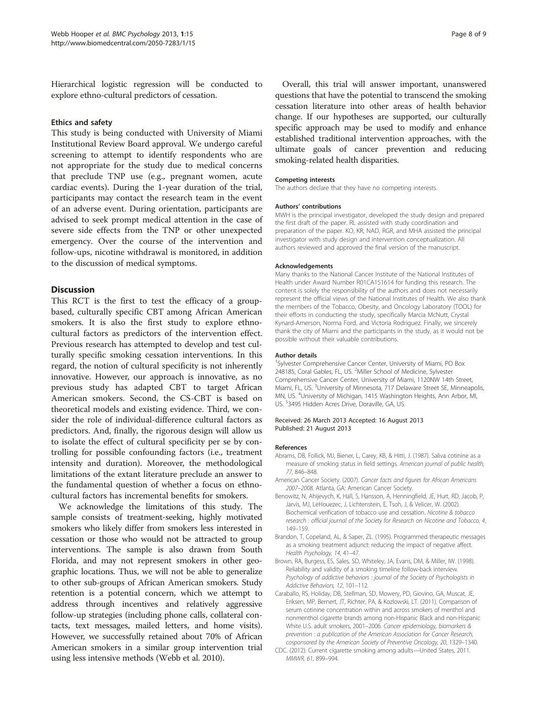<span id="page-7-0"></span>Hierarchical logistic regression will be conducted to explore ethno-cultural predictors of cessation.

#### Ethics and safety

This study is being conducted with University of Miami Institutional Review Board approval. We undergo careful screening to attempt to identify respondents who are not appropriate for the study due to medical concerns that preclude TNP use (e.g., pregnant women, acute cardiac events). During the 1-year duration of the trial, participants may contact the research team in the event of an adverse event. During orientation, participants are advised to seek prompt medical attention in the case of severe side effects from the TNP or other unexpected emergency. Over the course of the intervention and follow-ups, nicotine withdrawal is monitored, in addition to the discussion of medical symptoms.

#### **Discussion**

This RCT is the first to test the efficacy of a groupbased, culturally specific CBT among African American smokers. It is also the first study to explore ethnocultural factors as predictors of the intervention effect. Previous research has attempted to develop and test culturally specific smoking cessation interventions. In this regard, the notion of cultural specificity is not inherently innovative. However, our approach is innovative, as no previous study has adapted CBT to target African American smokers. Second, the CS-CBT is based on theoretical models and existing evidence. Third, we consider the role of individual-difference cultural factors as predictors. And, finally, the rigorous design will allow us to isolate the effect of cultural specificity per se by controlling for possible confounding factors (i.e., treatment intensity and duration). Moreover, the methodological limitations of the extant literature preclude an answer to the fundamental question of whether a focus on ethnocultural factors has incremental benefits for smokers.

We acknowledge the limitations of this study. The sample consists of treatment-seeking, highly motivated smokers who likely differ from smokers less interested in cessation or those who would not be attracted to group interventions. The sample is also drawn from South Florida, and may not represent smokers in other geographic locations. Thus, we will not be able to generalize to other sub-groups of African American smokers. Study retention is a potential concern, which we attempt to address through incentives and relatively aggressive follow-up strategies (including phone calls, collateral contacts, text messages, mailed letters, and home visits). However, we successfully retained about 70% of African American smokers in a similar group intervention trial using less intensive methods (Webb et al. [2010](#page-8-0)).

Overall, this trial will answer important, unanswered questions that have the potential to transcend the smoking cessation literature into other areas of health behavior change. If our hypotheses are supported, our culturally specific approach may be used to modify and enhance established traditional intervention approaches, with the ultimate goals of cancer prevention and reducing smoking-related health disparities.

#### Competing interests

The authors declare that they have no competing interests.

#### Authors' contributions

MWH is the principal investigator, developed the study design and prepared the first draft of the paper. RL assisted with study coordination and preparation of the paper. KO, KR, NAD, RGR, and MHA assisted the principal investigator with study design and intervention conceptualization. All authors reviewed and approved the final version of the manuscript.

#### Acknowledgements

Many thanks to the National Cancer Institute of the National Institutes of Health under Award Number R01CA151614 for funding this research. The content is solely the responsibility of the authors and does not necessarily represent the official views of the National Institutes of Health. We also thank the members of the Tobacco, Obesity, and Oncology Laboratory (TOOL) for their efforts in conducting the study, specifically Marcia McNutt, Crystal Kynard-Amerson, Norma Ford, and Victoria Rodriguez. Finally, we sincerely thank the city of Miami and the participants in the study, as it would not be possible without their valuable contributions.

#### Author details

<sup>1</sup>Sylvester Comprehensive Cancer Center, University of Miami, PO Box 248185, Coral Gables, FL, US. <sup>2</sup>Miller School of Medicine, Sylvester Comprehensive Cancer Center, University of Miami, 1120NW 14th Street, Miami, FL, US. <sup>3</sup>University of Minnesota, 717 Delaware Street SE, Minneapolis MN, US. <sup>4</sup> University of Michigan, 1415 Washington Heights, Ann Arbor, MI, US. <sup>5</sup>3495 Hidden Acres Drive, Doraville, GA, US.

#### Received: 26 March 2013 Accepted: 16 August 2013 Published: 21 August 2013

#### References

- Abrams, DB, Follick, MJ, Biener, L, Carey, KB, & Hitti, J. (1987). Saliva cotinine as a measure of smoking status in field settings. American journal of public health, 77, 846–848.
- American Cancer Society. (2007). Cancer facts and figures for African Americans 2007–2008. Atlanta, GA: American Cancer Society.
- Benowitz, N, Ahijevych, K, Hall, S, Hansson, A, Henningfield, JE, Hurt, RD, Jacob, P, Jarvis, MJ, LeHouezec, J, Lichtenstein, E, Tsoh, J, & Velicer, W. (2002). Biochemical verification of tobacco use and cessation. Nicotine & tobacco research : official journal of the Society for Research on Nicotine and Tobacco, 4, 149–159.
- Brandon, T, Copeland, AL, & Saper, ZL. (1995). Programmed therapeutic messages as a smoking treatment adjunct: reducing the impact of negative affect. Health Psychology, 14, 41–47.
- Brown, RA, Burgess, ES, Sales, SD, Whiteley, JA, Evans, DM, & Miller, IW. (1998). Reliability and validity of a smoking timeline follow-back interview. Psychology of addictive behaviors : journal of the Society of Psychologists in Addictive Behaviors, 12, 101–112.
- Caraballo, RS, Holiday, DB, Stellman, SD, Mowery, PD, Giovino, GA, Muscat, JE, Eriksen, MP, Bernert, JT, Richter, PA, & Kozlowski, LT. (2011). Comparison of serum cotinine concentration within and across smokers of menthol and nonmenthol cigarette brands among non-Hispanic Black and non-Hispanic White U.S. adult smokers, 2001–2006. Cancer epidemiology, biomarkers & prevention : a publication of the American Association for Cancer Research, cosponsored by the American Society of Preventive Oncology, 20, 1329–1340.
- CDC. (2012). Current cigarette smoking among adults—United States, 2011. MMWR, 61, 899–994.